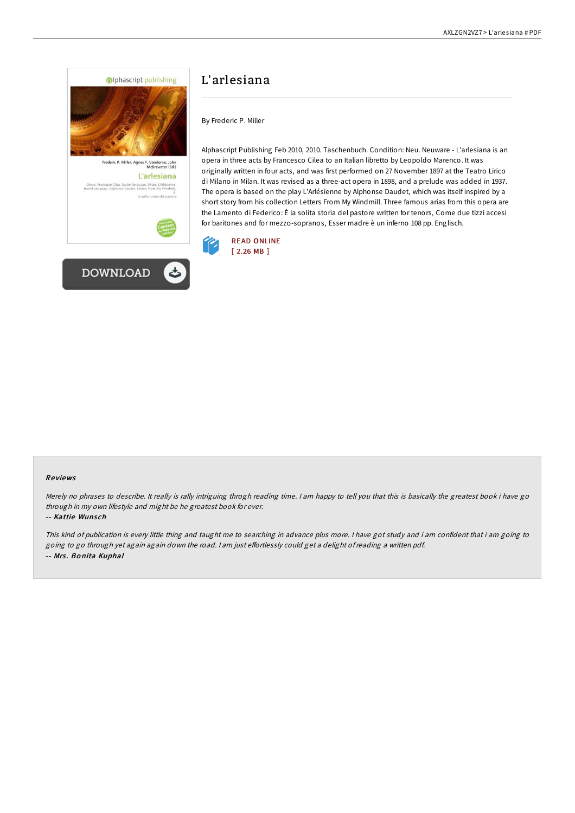



# L'arlesiana

By Frederic P. Miller

Alphascript Publishing Feb 2010, 2010. Taschenbuch. Condition: Neu. Neuware - L'arlesiana is an opera in three acts by Francesco Cilea to an Italian libretto by Leopoldo Marenco. It was originally written in four acts, and was first performed on 27 November 1897 at the Teatro Lirico di Milano in Milan. It was revised as a three-act opera in 1898, and a prelude was added in 1937. The opera is based on the play L'Arlésienne by Alphonse Daudet, which was itself inspired by a short story from his collection Letters From My Windmill. Three famous arias from this opera are the Lamento di Federico: È la solita storia del pastore written for tenors, Come due tizzi accesi for baritones and for mezzo-sopranos, Esser madre è un inferno 108 pp. Englisch.



### Re views

Merely no phrases to describe. It really is rally intriguing throgh reading time. I am happy to tell you that this is basically the greatest book i have go through in my own lifestyle and might be he greatest book for ever.

-- Kattie Wunsch

This kind of publication is every little thing and taught me to searching in advance plus more. <sup>I</sup> have got study and i am confident that i am going to going to go through yet again again down the road. I am just effortlessly could get a delight of reading a written pdf. -- Mrs. Bonita Kuphal